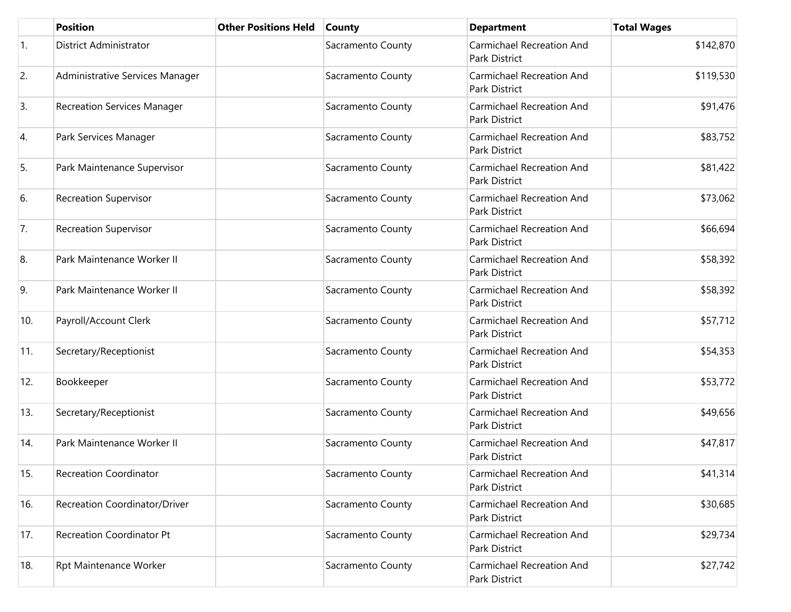|                  | <b>Position</b>                    | <b>Other Positions Held</b> | <b>County</b>     | <b>Department</b>                                 | <b>Total Wages</b> |
|------------------|------------------------------------|-----------------------------|-------------------|---------------------------------------------------|--------------------|
| $\overline{1}$ . | District Administrator             |                             | Sacramento County | <b>Carmichael Recreation And</b><br>Park District | \$142,870          |
| 2.               | Administrative Services Manager    |                             | Sacramento County | <b>Carmichael Recreation And</b><br>Park District | \$119,530          |
| 3.               | <b>Recreation Services Manager</b> |                             | Sacramento County | <b>Carmichael Recreation And</b><br>Park District | \$91,476           |
| 4.               | Park Services Manager              |                             | Sacramento County | <b>Carmichael Recreation And</b><br>Park District | \$83,752           |
| 5.               | Park Maintenance Supervisor        |                             | Sacramento County | <b>Carmichael Recreation And</b><br>Park District | \$81,422           |
| 6.               | <b>Recreation Supervisor</b>       |                             | Sacramento County | <b>Carmichael Recreation And</b><br>Park District | \$73,062           |
| 7.               | <b>Recreation Supervisor</b>       |                             | Sacramento County | <b>Carmichael Recreation And</b><br>Park District | \$66,694           |
| 8.               | Park Maintenance Worker II         |                             | Sacramento County | <b>Carmichael Recreation And</b><br>Park District | \$58,392           |
| 9.               | Park Maintenance Worker II         |                             | Sacramento County | <b>Carmichael Recreation And</b><br>Park District | \$58,392           |
| 10.              | Payroll/Account Clerk              |                             | Sacramento County | <b>Carmichael Recreation And</b><br>Park District | \$57,712           |
| 11.              | Secretary/Receptionist             |                             | Sacramento County | <b>Carmichael Recreation And</b><br>Park District | \$54,353           |
| 12.              | Bookkeeper                         |                             | Sacramento County | <b>Carmichael Recreation And</b><br>Park District | \$53,772           |
| 13.              | Secretary/Receptionist             |                             | Sacramento County | <b>Carmichael Recreation And</b><br>Park District | \$49,656           |
| 14.              | Park Maintenance Worker II         |                             | Sacramento County | <b>Carmichael Recreation And</b><br>Park District | \$47,817           |
| 15.              | <b>Recreation Coordinator</b>      |                             | Sacramento County | <b>Carmichael Recreation And</b><br>Park District | \$41,314           |
| 16.              | Recreation Coordinator/Driver      |                             | Sacramento County | <b>Carmichael Recreation And</b><br>Park District | \$30,685           |
| 17.              | <b>Recreation Coordinator Pt</b>   |                             | Sacramento County | <b>Carmichael Recreation And</b><br>Park District | \$29,734           |
| 18.              | <b>Rpt Maintenance Worker</b>      |                             | Sacramento County | <b>Carmichael Recreation And</b><br>Park District | \$27,742           |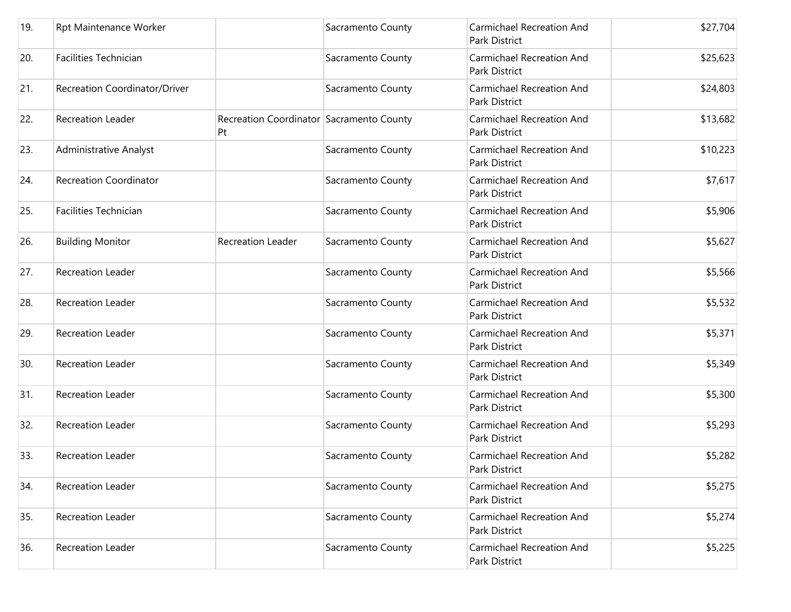| 19. | Rpt Maintenance Worker        |                                                | Sacramento County | <b>Carmichael Recreation And</b><br>Park District        | \$27,704 |
|-----|-------------------------------|------------------------------------------------|-------------------|----------------------------------------------------------|----------|
| 20. | <b>Facilities Technician</b>  |                                                | Sacramento County | <b>Carmichael Recreation And</b><br>Park District        | \$25,623 |
| 21. | Recreation Coordinator/Driver |                                                | Sacramento County | <b>Carmichael Recreation And</b><br>Park District        | \$24,803 |
| 22. | <b>Recreation Leader</b>      | Recreation Coordinator Sacramento County<br>Pt |                   | <b>Carmichael Recreation And</b><br><b>Park District</b> | \$13,682 |
| 23. | <b>Administrative Analyst</b> |                                                | Sacramento County | <b>Carmichael Recreation And</b><br>Park District        | \$10,223 |
| 24. | <b>Recreation Coordinator</b> |                                                | Sacramento County | <b>Carmichael Recreation And</b><br>Park District        | \$7,617  |
| 25. | <b>Facilities Technician</b>  |                                                | Sacramento County | <b>Carmichael Recreation And</b><br>Park District        | \$5,906  |
| 26. | <b>Building Monitor</b>       | Recreation Leader                              | Sacramento County | <b>Carmichael Recreation And</b><br>Park District        | \$5,627  |
| 27. | <b>Recreation Leader</b>      |                                                | Sacramento County | <b>Carmichael Recreation And</b><br>Park District        | \$5,566  |
| 28. | Recreation Leader             |                                                | Sacramento County | <b>Carmichael Recreation And</b><br>Park District        | \$5,532  |
| 29. | <b>Recreation Leader</b>      |                                                | Sacramento County | <b>Carmichael Recreation And</b><br>Park District        | \$5,371  |
| 30. | <b>Recreation Leader</b>      |                                                | Sacramento County | <b>Carmichael Recreation And</b><br>Park District        | \$5,349  |
| 31. | <b>Recreation Leader</b>      |                                                | Sacramento County | <b>Carmichael Recreation And</b><br>Park District        | \$5,300  |
| 32. | <b>Recreation Leader</b>      |                                                | Sacramento County | <b>Carmichael Recreation And</b><br>Park District        | \$5,293  |
| 33. | <b>Recreation Leader</b>      |                                                | Sacramento County | <b>Carmichael Recreation And</b><br>Park District        | \$5,282  |
| 34. | <b>Recreation Leader</b>      |                                                | Sacramento County | <b>Carmichael Recreation And</b><br>Park District        | \$5,275  |
| 35. | <b>Recreation Leader</b>      |                                                | Sacramento County | <b>Carmichael Recreation And</b><br>Park District        | \$5,274  |
| 36. | <b>Recreation Leader</b>      |                                                | Sacramento County | <b>Carmichael Recreation And</b><br>Park District        | \$5,225  |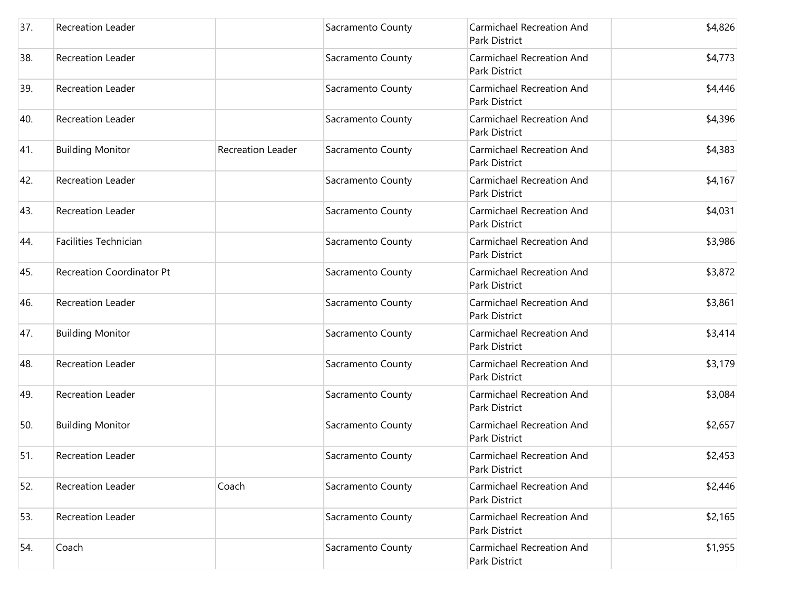| 37. | Recreation Leader                |                   | Sacramento County | Carmichael Recreation And<br>Park District               | \$4,826 |
|-----|----------------------------------|-------------------|-------------------|----------------------------------------------------------|---------|
| 38. | <b>Recreation Leader</b>         |                   | Sacramento County | Carmichael Recreation And<br><b>Park District</b>        | \$4,773 |
| 39. | Recreation Leader                |                   | Sacramento County | <b>Carmichael Recreation And</b><br>Park District        | \$4,446 |
| 40. | Recreation Leader                |                   | Sacramento County | <b>Carmichael Recreation And</b><br><b>Park District</b> | \$4,396 |
| 41. | <b>Building Monitor</b>          | Recreation Leader | Sacramento County | <b>Carmichael Recreation And</b><br>Park District        | \$4,383 |
| 42. | Recreation Leader                |                   | Sacramento County | Carmichael Recreation And<br>Park District               | \$4,167 |
| 43. | <b>Recreation Leader</b>         |                   | Sacramento County | Carmichael Recreation And<br><b>Park District</b>        | \$4,031 |
| 44. | <b>Facilities Technician</b>     |                   | Sacramento County | <b>Carmichael Recreation And</b><br>Park District        | \$3,986 |
| 45. | <b>Recreation Coordinator Pt</b> |                   | Sacramento County | Carmichael Recreation And<br>Park District               | \$3,872 |
| 46. | Recreation Leader                |                   | Sacramento County | Carmichael Recreation And<br>Park District               | \$3,861 |
| 47. | <b>Building Monitor</b>          |                   | Sacramento County | Carmichael Recreation And<br>Park District               | \$3,414 |
| 48. | Recreation Leader                |                   | Sacramento County | Carmichael Recreation And<br>Park District               | \$3,179 |
| 49. | Recreation Leader                |                   | Sacramento County | Carmichael Recreation And<br>Park District               | \$3,084 |
| 50. | <b>Building Monitor</b>          |                   | Sacramento County | Carmichael Recreation And<br>Park District               | \$2,657 |
| 51. | <b>Recreation Leader</b>         |                   | Sacramento County | Carmichael Recreation And<br>Park District               | \$2,453 |
| 52. | Recreation Leader                | Coach             | Sacramento County | <b>Carmichael Recreation And</b><br>Park District        | \$2,446 |
| 53. | Recreation Leader                |                   | Sacramento County | <b>Carmichael Recreation And</b><br>Park District        | \$2,165 |
| 54. | Coach                            |                   | Sacramento County | Carmichael Recreation And<br>Park District               | \$1,955 |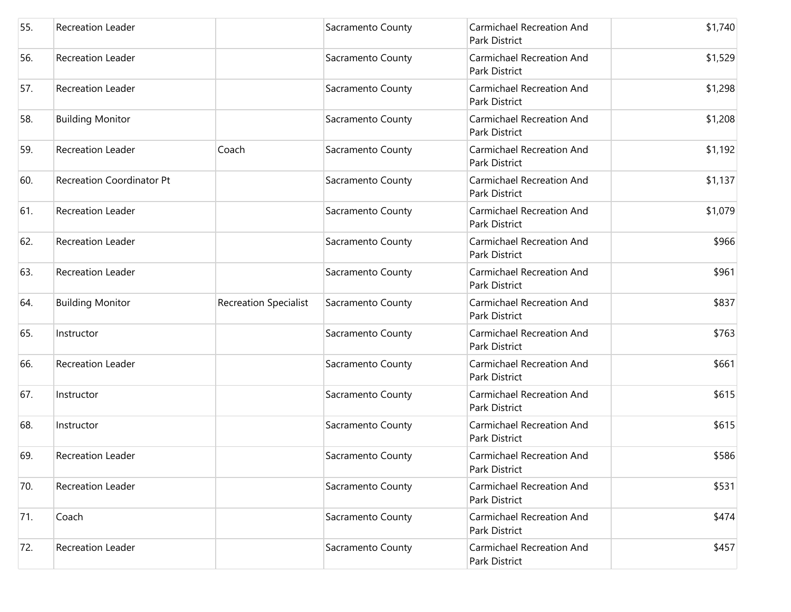| 55. | <b>Recreation Leader</b>         |                              | Sacramento County | Carmichael Recreation And<br>Park District               | \$1,740 |
|-----|----------------------------------|------------------------------|-------------------|----------------------------------------------------------|---------|
| 56. | Recreation Leader                |                              | Sacramento County | Carmichael Recreation And<br>Park District               | \$1,529 |
| 57. | Recreation Leader                |                              | Sacramento County | <b>Carmichael Recreation And</b><br>Park District        | \$1,298 |
| 58. | <b>Building Monitor</b>          |                              | Sacramento County | Carmichael Recreation And<br>Park District               | \$1,208 |
| 59. | Recreation Leader                | Coach                        | Sacramento County | <b>Carmichael Recreation And</b><br>Park District        | \$1,192 |
| 60. | <b>Recreation Coordinator Pt</b> |                              | Sacramento County | Carmichael Recreation And<br>Park District               | \$1,137 |
| 61. | Recreation Leader                |                              | Sacramento County | <b>Carmichael Recreation And</b><br><b>Park District</b> | \$1,079 |
| 62. | Recreation Leader                |                              | Sacramento County | Carmichael Recreation And<br>Park District               | \$966   |
| 63. | Recreation Leader                |                              | Sacramento County | Carmichael Recreation And<br>Park District               | \$961   |
| 64. | <b>Building Monitor</b>          | <b>Recreation Specialist</b> | Sacramento County | Carmichael Recreation And<br>Park District               | \$837   |
| 65. | Instructor                       |                              | Sacramento County | <b>Carmichael Recreation And</b><br>Park District        | \$763   |
| 66. | Recreation Leader                |                              | Sacramento County | <b>Carmichael Recreation And</b><br>Park District        | \$661   |
| 67. | Instructor                       |                              | Sacramento County | Carmichael Recreation And<br>Park District               | \$615   |
| 68. | Instructor                       |                              | Sacramento County | Carmichael Recreation And<br>Park District               | \$615   |
| 69. | <b>Recreation Leader</b>         |                              | Sacramento County | Carmichael Recreation And<br>Park District               | \$586   |
| 70. | Recreation Leader                |                              | Sacramento County | <b>Carmichael Recreation And</b><br>Park District        | \$531   |
| 71. | Coach                            |                              | Sacramento County | <b>Carmichael Recreation And</b><br>Park District        | \$474   |
| 72. | <b>Recreation Leader</b>         |                              | Sacramento County | Carmichael Recreation And<br>Park District               | \$457   |